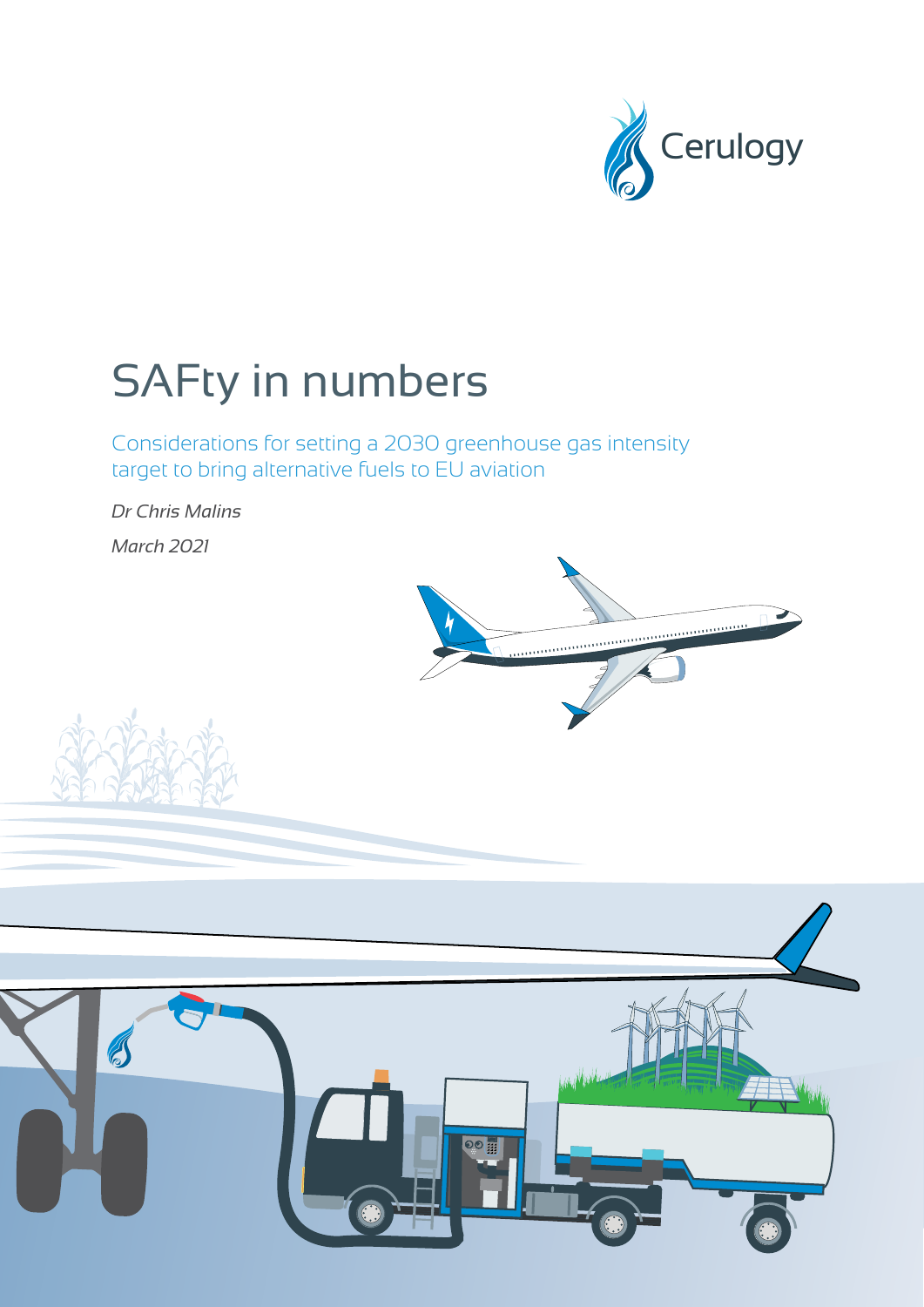

# SAFty in numbers

Considerations for setting a 2030 greenhouse gas intensity target to bring alternative fuels to EU aviation

*Dr Chris Malins March 2021*





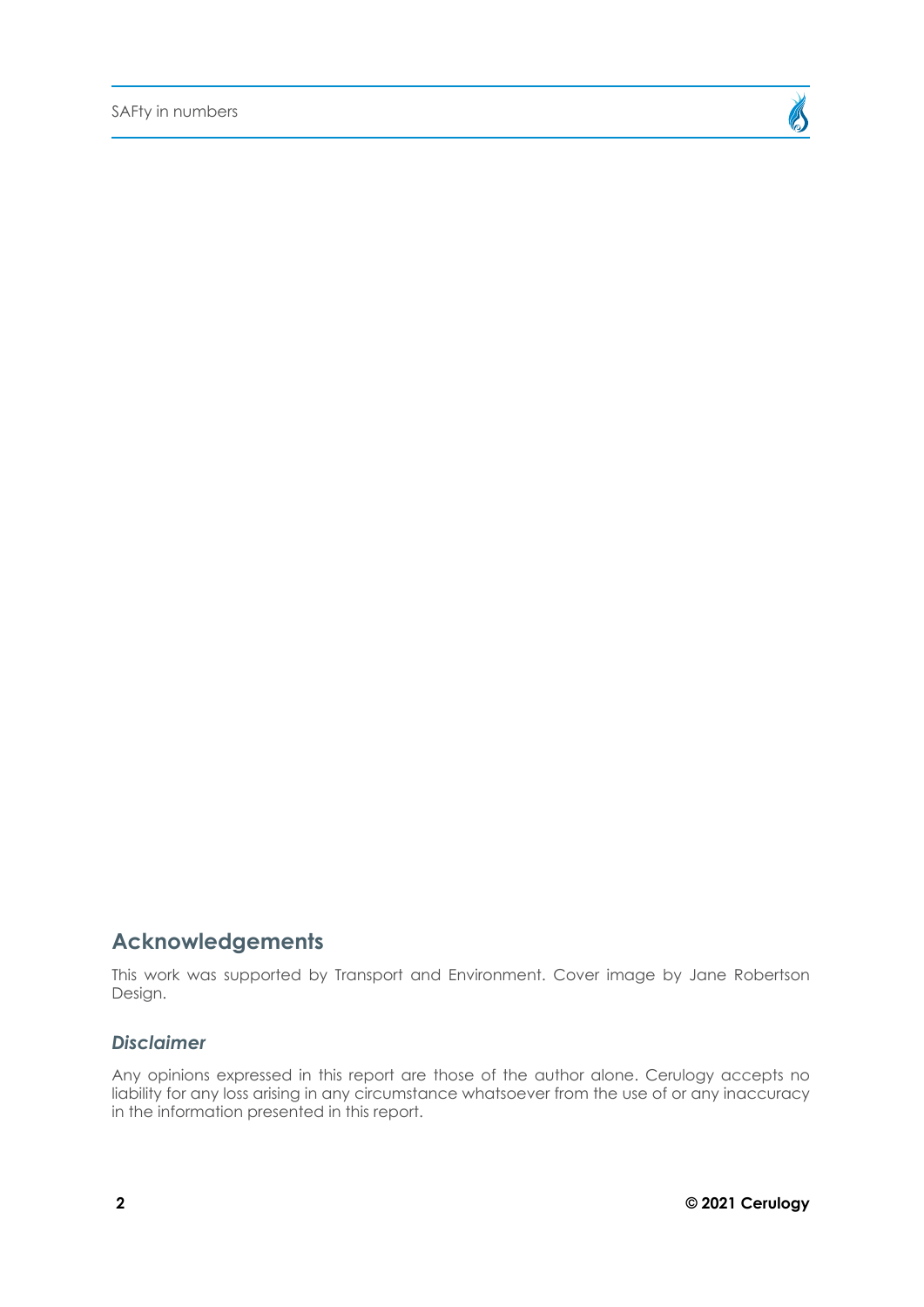

### **Acknowledgements**

This work was supported by Transport and Environment. Cover image by Jane Robertson Design.

#### *Disclaimer*

Any opinions expressed in this report are those of the author alone. Cerulogy accepts no liability for any loss arising in any circumstance whatsoever from the use of or any inaccuracy in the information presented in this report.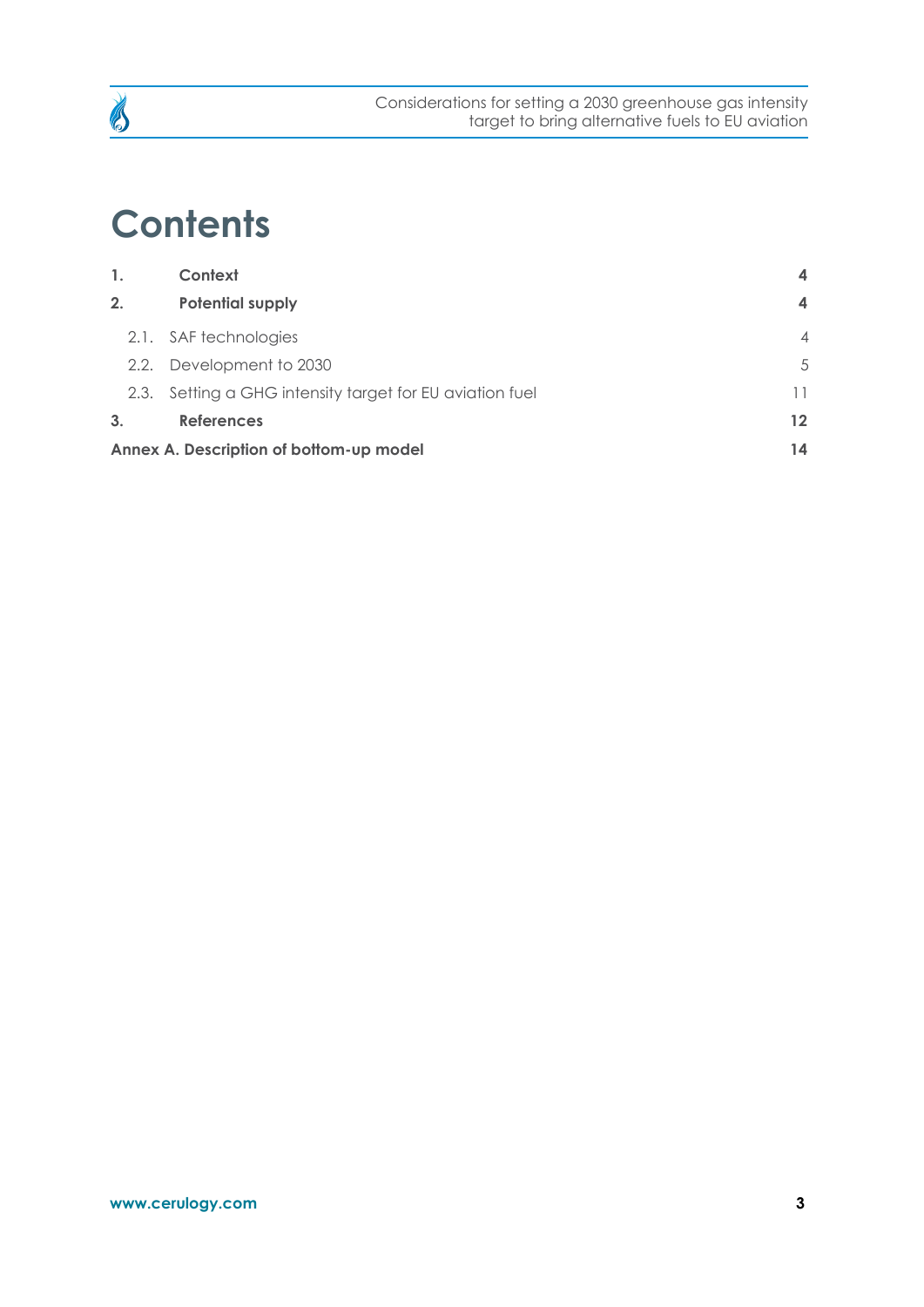

## **Contents**

| 1.                                      | Context                                                  | $\overline{\mathbf{4}}$ |  |  |
|-----------------------------------------|----------------------------------------------------------|-------------------------|--|--|
| 2.                                      | <b>Potential supply</b>                                  | $\overline{\mathbf{4}}$ |  |  |
|                                         | 2.1. SAF technologies                                    | $\overline{4}$          |  |  |
| 2.2.                                    | Development to 2030                                      | 5                       |  |  |
|                                         | 2.3. Setting a GHG intensity target for EU aviation fuel | 11                      |  |  |
| 3.                                      | <b>References</b>                                        | $12 \overline{ }$       |  |  |
| Annex A. Description of bottom-up model |                                                          |                         |  |  |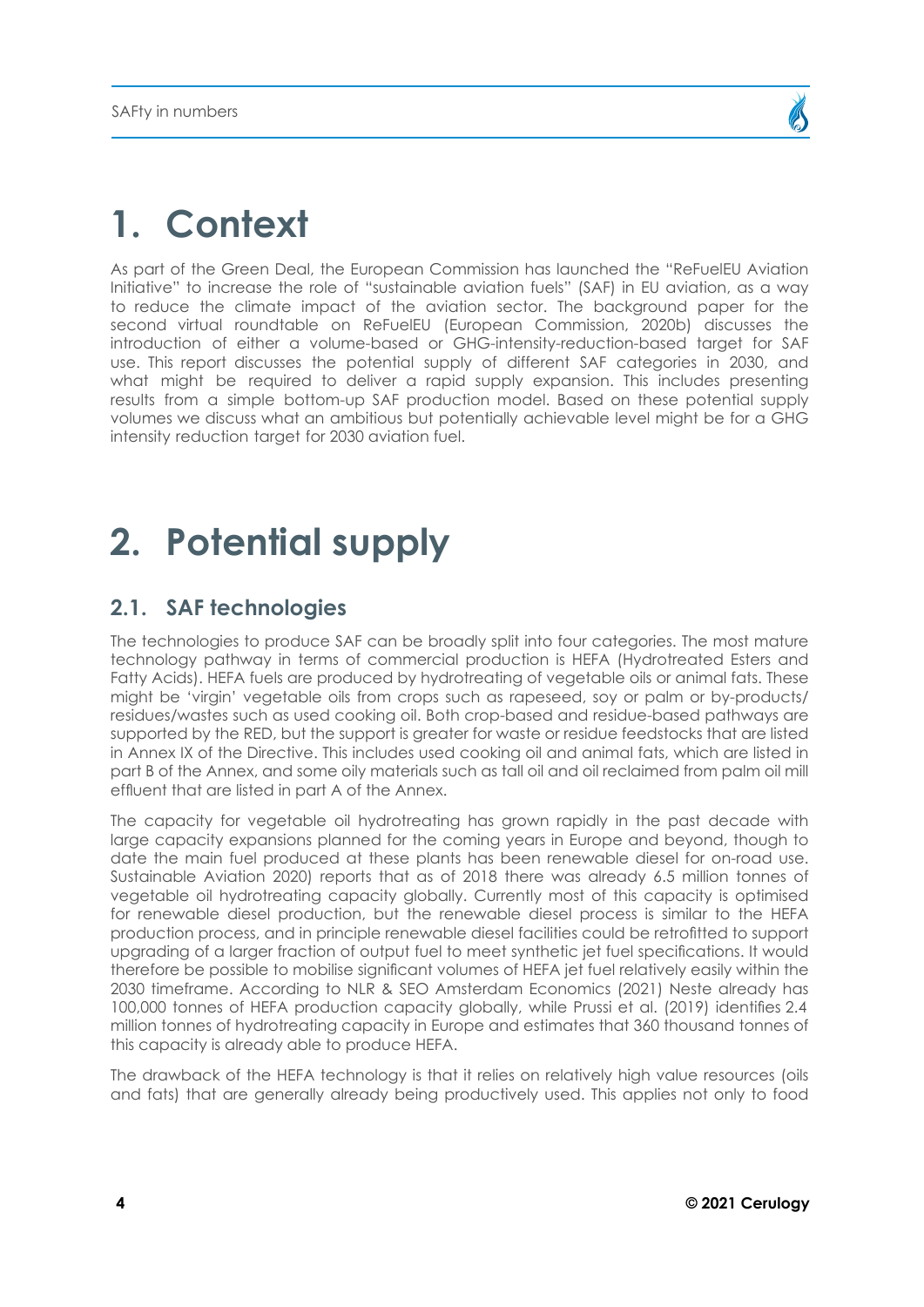## <span id="page-3-0"></span>**1. Context**

As part of the Green Deal, the European Commission has launched the "ReFuelEU Aviation Initiative" to increase the role of "sustainable aviation fuels" (SAF) in EU aviation, as a way to reduce the climate impact of the aviation sector. The background paper for the second virtual roundtable on ReFuelEU (European Commission, 2020b) discusses the introduction of either a volume-based or GHG-intensity-reduction-based target for SAF use. This report discusses the potential supply of different SAF categories in 2030, and what might be required to deliver a rapid supply expansion. This includes presenting results from a simple bottom-up SAF production model. Based on these potential supply volumes we discuss what an ambitious but potentially achievable level might be for a GHG intensity reduction target for 2030 aviation fuel.

## **2. Potential supply**

### **2.1. SAF technologies**

The technologies to produce SAF can be broadly split into four categories. The most mature technology pathway in terms of commercial production is HEFA (Hydrotreated Esters and Fatty Acids). HEFA fuels are produced by hydrotreating of vegetable oils or animal fats. These might be 'virgin' vegetable oils from crops such as rapeseed, soy or palm or by-products/ residues/wastes such as used cooking oil. Both crop-based and residue-based pathways are supported by the RED, but the support is greater for waste or residue feedstocks that are listed in Annex IX of the Directive. This includes used cooking oil and animal fats, which are listed in part B of the Annex, and some oily materials such as tall oil and oil reclaimed from palm oil mill effluent that are listed in part A of the Annex.

The capacity for vegetable oil hydrotreating has grown rapidly in the past decade with large capacity expansions planned for the coming years in Europe and beyond, though to date the main fuel produced at these plants has been renewable diesel for on-road use. Sustainable Aviation 2020) reports that as of 2018 there was already 6.5 million tonnes of vegetable oil hydrotreating capacity globally. Currently most of this capacity is optimised for renewable diesel production, but the renewable diesel process is similar to the HEFA production process, and in principle renewable diesel facilities could be retrofitted to support upgrading of a larger fraction of output fuel to meet synthetic jet fuel specifications. It would therefore be possible to mobilise significant volumes of HEFA jet fuel relatively easily within the 2030 timeframe. According to NLR & SEO Amsterdam Economics (2021) Neste already has 100,000 tonnes of HEFA production capacity globally, while Prussi et al. (2019) identifies 2.4 million tonnes of hydrotreating capacity in Europe and estimates that 360 thousand tonnes of this capacity is already able to produce HEFA.

The drawback of the HEFA technology is that it relies on relatively high value resources (oils and fats) that are generally already being productively used. This applies not only to food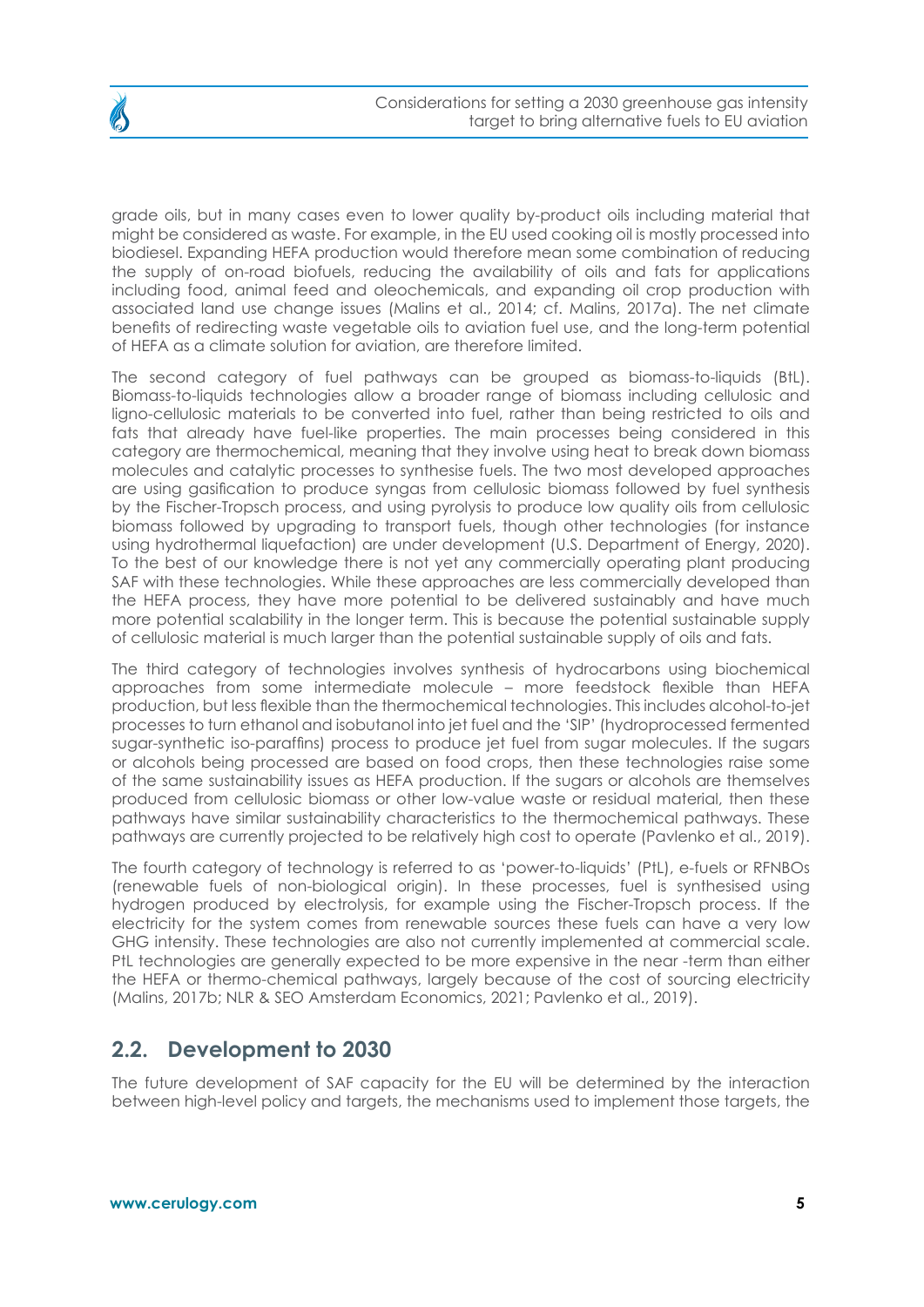

<span id="page-4-0"></span>

grade oils, but in many cases even to lower quality by-product oils including material that might be considered as waste. For example, in the EU used cooking oil is mostly processed into biodiesel. Expanding HEFA production would therefore mean some combination of reducing the supply of on-road biofuels, reducing the availability of oils and fats for applications including food, animal feed and oleochemicals, and expanding oil crop production with associated land use change issues (Malins et al., 2014; cf. Malins, 2017a). The net climate benefits of redirecting waste vegetable oils to aviation fuel use, and the long-term potential of HEFA as a climate solution for aviation, are therefore limited.

The second category of fuel pathways can be grouped as biomass-to-liquids (BtL). Biomass-to-liquids technologies allow a broader range of biomass including cellulosic and ligno-cellulosic materials to be converted into fuel, rather than being restricted to oils and fats that already have fuel-like properties. The main processes being considered in this category are thermochemical, meaning that they involve using heat to break down biomass molecules and catalytic processes to synthesise fuels. The two most developed approaches are using gasification to produce syngas from cellulosic biomass followed by fuel synthesis by the Fischer-Tropsch process, and using pyrolysis to produce low quality oils from cellulosic biomass followed by upgrading to transport fuels, though other technologies (for instance using hydrothermal liquefaction) are under development (U.S. Department of Energy, 2020). To the best of our knowledge there is not yet any commercially operating plant producing SAF with these technologies. While these approaches are less commercially developed than the HEFA process, they have more potential to be delivered sustainably and have much more potential scalability in the longer term. This is because the potential sustainable supply of cellulosic material is much larger than the potential sustainable supply of oils and fats.

The third category of technologies involves synthesis of hydrocarbons using biochemical approaches from some intermediate molecule – more feedstock flexible than HEFA production, but less flexible than the thermochemical technologies. This includes alcohol-to-jet processes to turn ethanol and isobutanol into jet fuel and the 'SIP' (hydroprocessed fermented sugar-synthetic iso-paraffins) process to produce jet fuel from sugar molecules. If the sugars or alcohols being processed are based on food crops, then these technologies raise some of the same sustainability issues as HEFA production. If the sugars or alcohols are themselves produced from cellulosic biomass or other low-value waste or residual material, then these pathways have similar sustainability characteristics to the thermochemical pathways. These pathways are currently projected to be relatively high cost to operate (Pavlenko et al., 2019).

The fourth category of technology is referred to as 'power-to-liquids' (PtL), e-fuels or RFNBOs (renewable fuels of non-biological origin). In these processes, fuel is synthesised using hydrogen produced by electrolysis, for example using the Fischer-Tropsch process. If the electricity for the system comes from renewable sources these fuels can have a very low GHG intensity. These technologies are also not currently implemented at commercial scale. PtL technologies are generally expected to be more expensive in the near -term than either the HEFA or thermo-chemical pathways, largely because of the cost of sourcing electricity (Malins, 2017b; NLR & SEO Amsterdam Economics, 2021; Pavlenko et al., 2019).

### **2.2. Development to 2030**

The future development of SAF capacity for the EU will be determined by the interaction between high-level policy and targets, the mechanisms used to implement those targets, the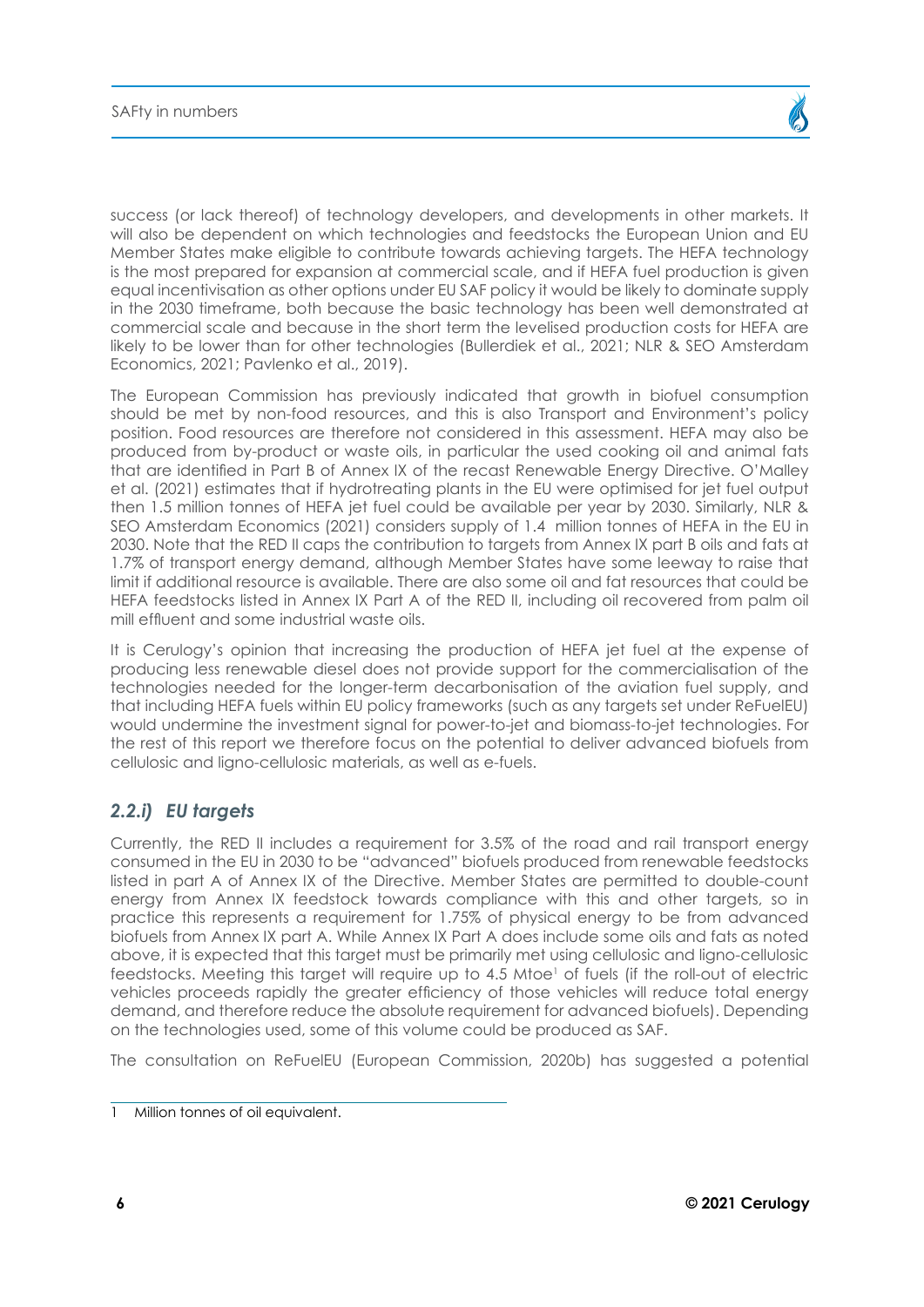success (or lack thereof) of technology developers, and developments in other markets. It will also be dependent on which technologies and feedstocks the European Union and EU Member States make eligible to contribute towards achieving targets. The HEFA technology is the most prepared for expansion at commercial scale, and if HEFA fuel production is given equal incentivisation as other options under EU SAF policy it would be likely to dominate supply in the 2030 timeframe, both because the basic technology has been well demonstrated at commercial scale and because in the short term the levelised production costs for HEFA are likely to be lower than for other technologies (Bullerdiek et al., 2021; NLR & SEO Amsterdam Economics, 2021; Pavlenko et al., 2019).

The European Commission has previously indicated that growth in biofuel consumption should be met by non-food resources, and this is also Transport and Environment's policy position. Food resources are therefore not considered in this assessment. HEFA may also be produced from by-product or waste oils, in particular the used cooking oil and animal fats that are identified in Part B of Annex IX of the recast Renewable Energy Directive. O'Malley et al. (2021) estimates that if hydrotreating plants in the EU were optimised for jet fuel output then 1.5 million tonnes of HEFA jet fuel could be available per year by 2030. Similarly, NLR & SEO Amsterdam Economics (2021) considers supply of 1.4 million tonnes of HEFA in the EU in 2030. Note that the RED II caps the contribution to targets from Annex IX part B oils and fats at 1.7% of transport energy demand, although Member States have some leeway to raise that limit if additional resource is available. There are also some oil and fat resources that could be HEFA feedstocks listed in Annex IX Part A of the RED II, including oil recovered from palm oil mill effluent and some industrial waste oils.

It is Cerulogy's opinion that increasing the production of HEFA jet fuel at the expense of producing less renewable diesel does not provide support for the commercialisation of the technologies needed for the longer-term decarbonisation of the aviation fuel supply, and that including HEFA fuels within EU policy frameworks (such as any targets set under ReFuelEU) would undermine the investment signal for power-to-jet and biomass-to-jet technologies. For the rest of this report we therefore focus on the potential to deliver advanced biofuels from cellulosic and ligno-cellulosic materials, as well as e-fuels.

#### *2.2.i) EU targets*

Currently, the RED II includes a requirement for 3.5% of the road and rail transport energy consumed in the EU in 2030 to be "advanced" biofuels produced from renewable feedstocks listed in part A of Annex IX of the Directive. Member States are permitted to double-count energy from Annex IX feedstock towards compliance with this and other targets, so in practice this represents a requirement for 1.75% of physical energy to be from advanced biofuels from Annex IX part A. While Annex IX Part A does include some oils and fats as noted above, it is expected that this target must be primarily met using cellulosic and ligno-cellulosic feedstocks. Meeting this target will require up to 4.5 Mtoe $^{\rm l}$  of fuels (if the roll-out of electric vehicles proceeds rapidly the greater efficiency of those vehicles will reduce total energy demand, and therefore reduce the absolute requirement for advanced biofuels). Depending on the technologies used, some of this volume could be produced as SAF.

The consultation on ReFuelEU (European Commission, 2020b) has suggested a potential

<sup>1</sup> Million tonnes of oil equivalent.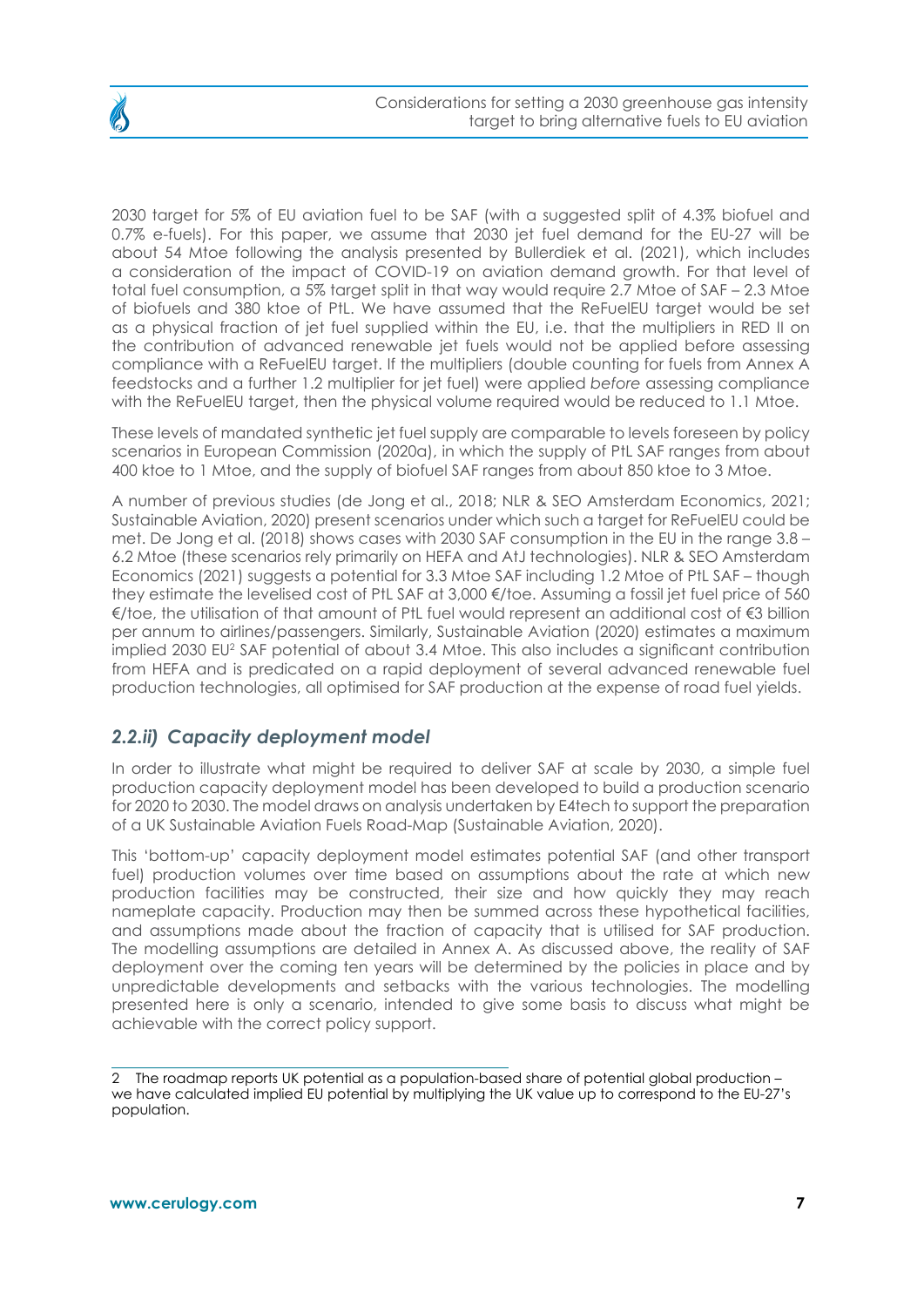

2030 target for 5% of EU aviation fuel to be SAF (with a suggested split of 4.3% biofuel and 0.7% e-fuels). For this paper, we assume that 2030 jet fuel demand for the EU-27 will be about 54 Mtoe following the analysis presented by Bullerdiek et al. (2021), which includes a consideration of the impact of COVID-19 on aviation demand growth. For that level of total fuel consumption, a 5% target split in that way would require 2.7 Mtoe of SAF – 2.3 Mtoe of biofuels and 380 ktoe of PtL. We have assumed that the ReFuelEU target would be set as a physical fraction of jet fuel supplied within the EU, i.e. that the multipliers in RED II on the contribution of advanced renewable jet fuels would not be applied before assessing compliance with a ReFuelEU target. If the multipliers (double counting for fuels from Annex A feedstocks and a further 1.2 multiplier for jet fuel) were applied *before* assessing compliance with the ReFuelEU target, then the physical volume required would be reduced to 1.1 Mtoe.

These levels of mandated synthetic jet fuel supply are comparable to levels foreseen by policy scenarios in European Commission (2020a), in which the supply of PtL SAF ranges from about 400 ktoe to 1 Mtoe, and the supply of biofuel SAF ranges from about 850 ktoe to 3 Mtoe.

A number of previous studies (de Jong et al., 2018; NLR & SEO Amsterdam Economics, 2021; Sustainable Aviation, 2020) present scenarios under which such a target for ReFuelEU could be met. De Jong et al. (2018) shows cases with 2030 SAF consumption in the EU in the range 3.8 – 6.2 Mtoe (these scenarios rely primarily on HEFA and AtJ technologies). NLR & SEO Amsterdam Economics (2021) suggests a potential for 3.3 Mtoe SAF including 1.2 Mtoe of PtL SAF – though they estimate the levelised cost of PtL SAF at 3,000 €/toe. Assuming a fossil jet fuel price of 560 €/toe, the utilisation of that amount of PtL fuel would represent an additional cost of €3 billion per annum to airlines/passengers. Similarly, Sustainable Aviation (2020) estimates a maximum implied 2030 EU2 SAF potential of about 3.4 Mtoe. This also includes a significant contribution from HEFA and is predicated on a rapid deployment of several advanced renewable fuel production technologies, all optimised for SAF production at the expense of road fuel yields.

#### *2.2.ii) Capacity deployment model*

In order to illustrate what might be required to deliver SAF at scale by 2030, a simple fuel production capacity deployment model has been developed to build a production scenario for 2020 to 2030. The model draws on analysis undertaken by E4tech to support the preparation of a UK Sustainable Aviation Fuels Road-Map (Sustainable Aviation, 2020).

This 'bottom-up' capacity deployment model estimates potential SAF (and other transport fuel) production volumes over time based on assumptions about the rate at which new production facilities may be constructed, their size and how quickly they may reach nameplate capacity. Production may then be summed across these hypothetical facilities, and assumptions made about the fraction of capacity that is utilised for SAF production. The modelling assumptions are detailed in Annex A. As discussed above, the reality of SAF deployment over the coming ten years will be determined by the policies in place and by unpredictable developments and setbacks with the various technologies. The modelling presented here is only a scenario, intended to give some basis to discuss what might be achievable with the correct policy support.

<sup>2</sup> The roadmap reports UK potential as a population-based share of potential global production – we have calculated implied EU potential by multiplying the UK value up to correspond to the EU-27's population.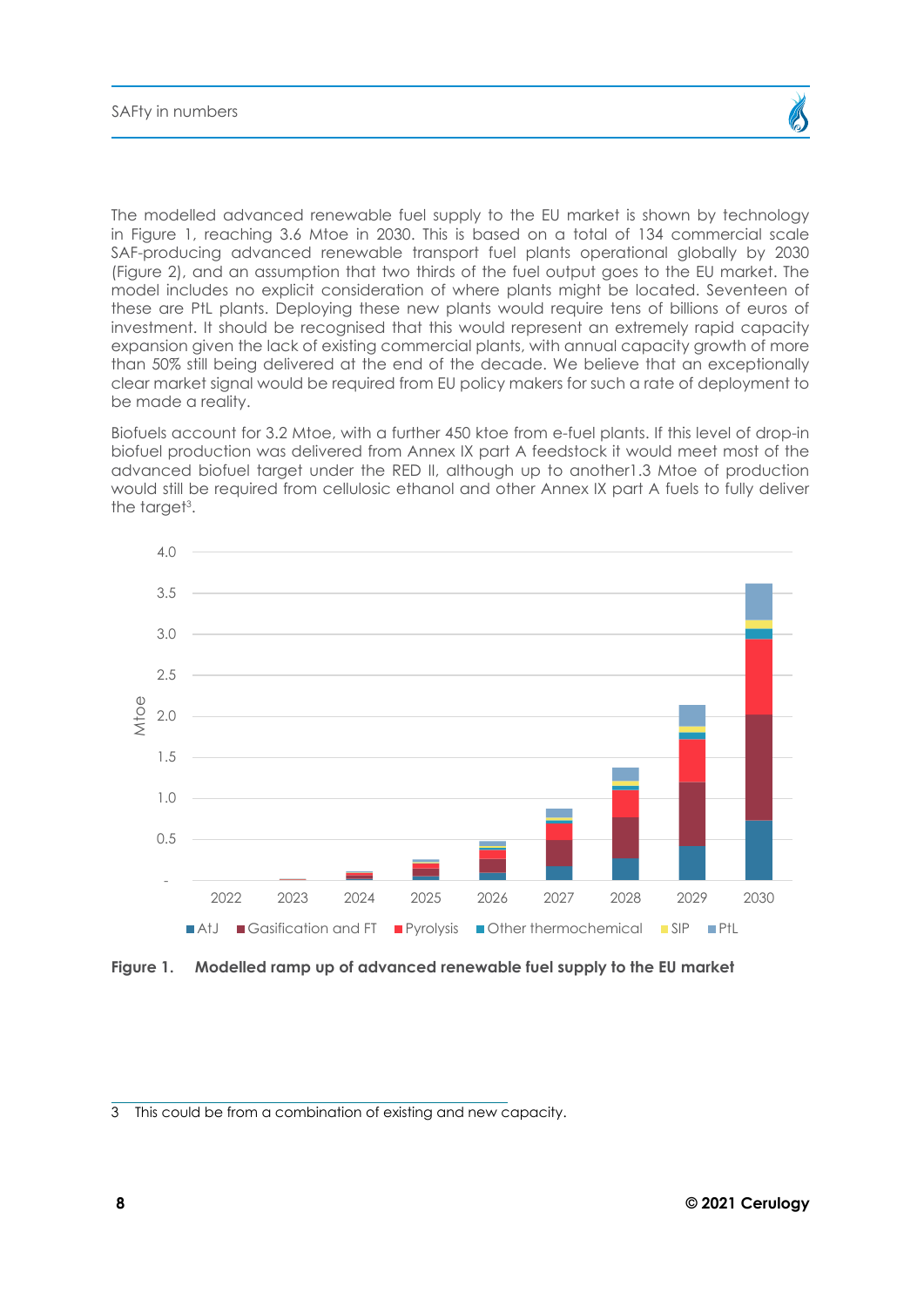The modelled advanced renewable fuel supply to the EU market is shown by technology in Figure 1, reaching 3.6 Mtoe in 2030. This is based on a total of 134 commercial scale SAF-producing advanced renewable transport fuel plants operational globally by 2030 (Figure 2), and an assumption that two thirds of the fuel output goes to the EU market. The model includes no explicit consideration of where plants might be located. Seventeen of these are PtL plants. Deploying these new plants would require tens of billions of euros of investment. It should be recognised that this would represent an extremely rapid capacity expansion given the lack of existing commercial plants, with annual capacity growth of more than 50% still being delivered at the end of the decade. We believe that an exceptionally clear market signal would be required from EU policy makers for such a rate of deployment to be made a reality.

Biofuels account for 3.2 Mtoe, with a further 450 ktoe from e-fuel plants. If this level of drop-in biofuel production was delivered from Annex IX part A feedstock it would meet most of the advanced biofuel target under the RED II, although up to another1.3 Mtoe of production would still be required from cellulosic ethanol and other Annex IX part A fuels to fully deliver the target<sup>3</sup>.



**Figure 1. Modelled ramp up of advanced renewable fuel supply to the EU market** 

<sup>3</sup> This could be from a combination of existing and new capacity.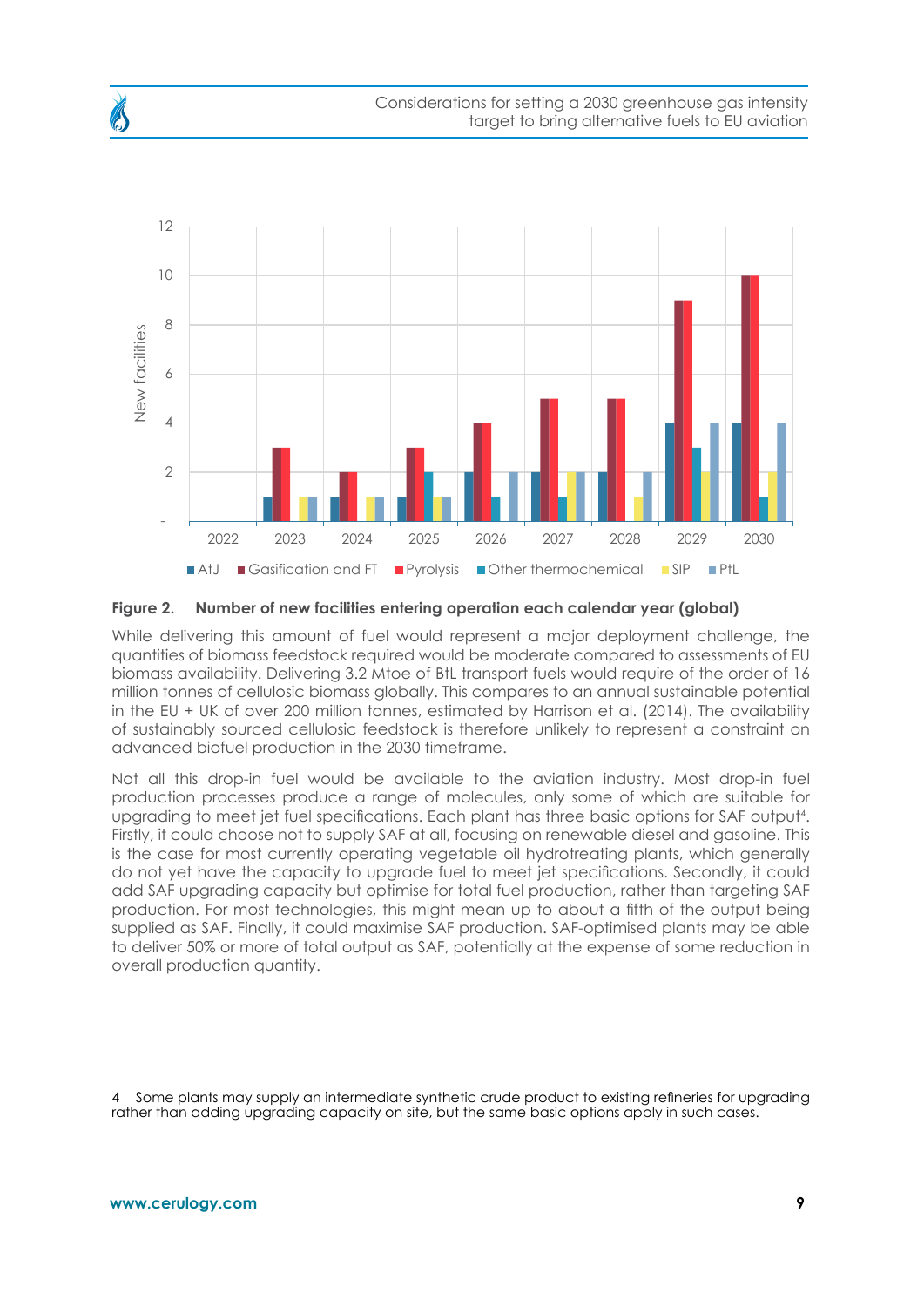

#### **Figure 2. Number of new facilities entering operation each calendar year (global)**

While delivering this amount of fuel would represent a major deployment challenge, the quantities of biomass feedstock required would be moderate compared to assessments of EU biomass availability. Delivering 3.2 Mtoe of BtL transport fuels would require of the order of 16 million tonnes of cellulosic biomass globally. This compares to an annual sustainable potential in the EU + UK of over 200 million tonnes, estimated by Harrison et al. (2014). The availability of sustainably sourced cellulosic feedstock is therefore unlikely to represent a constraint on advanced biofuel production in the 2030 timeframe.

Not all this drop-in fuel would be available to the aviation industry. Most drop-in fuel production processes produce a range of molecules, only some of which are suitable for upgrading to meet jet fuel specifications. Each plant has three basic options for SAF output<sup>4</sup> . Firstly, it could choose not to supply SAF at all, focusing on renewable diesel and gasoline. This is the case for most currently operating vegetable oil hydrotreating plants, which generally do not yet have the capacity to upgrade fuel to meet jet specifications. Secondly, it could add SAF upgrading capacity but optimise for total fuel production, rather than targeting SAF production. For most technologies, this might mean up to about a fifth of the output being supplied as SAF. Finally, it could maximise SAF production. SAF-optimised plants may be able to deliver 50% or more of total output as SAF, potentially at the expense of some reduction in overall production quantity.

<sup>4</sup> Some plants may supply an intermediate synthetic crude product to existing refineries for upgrading rather than adding upgrading capacity on site, but the same basic options apply in such cases.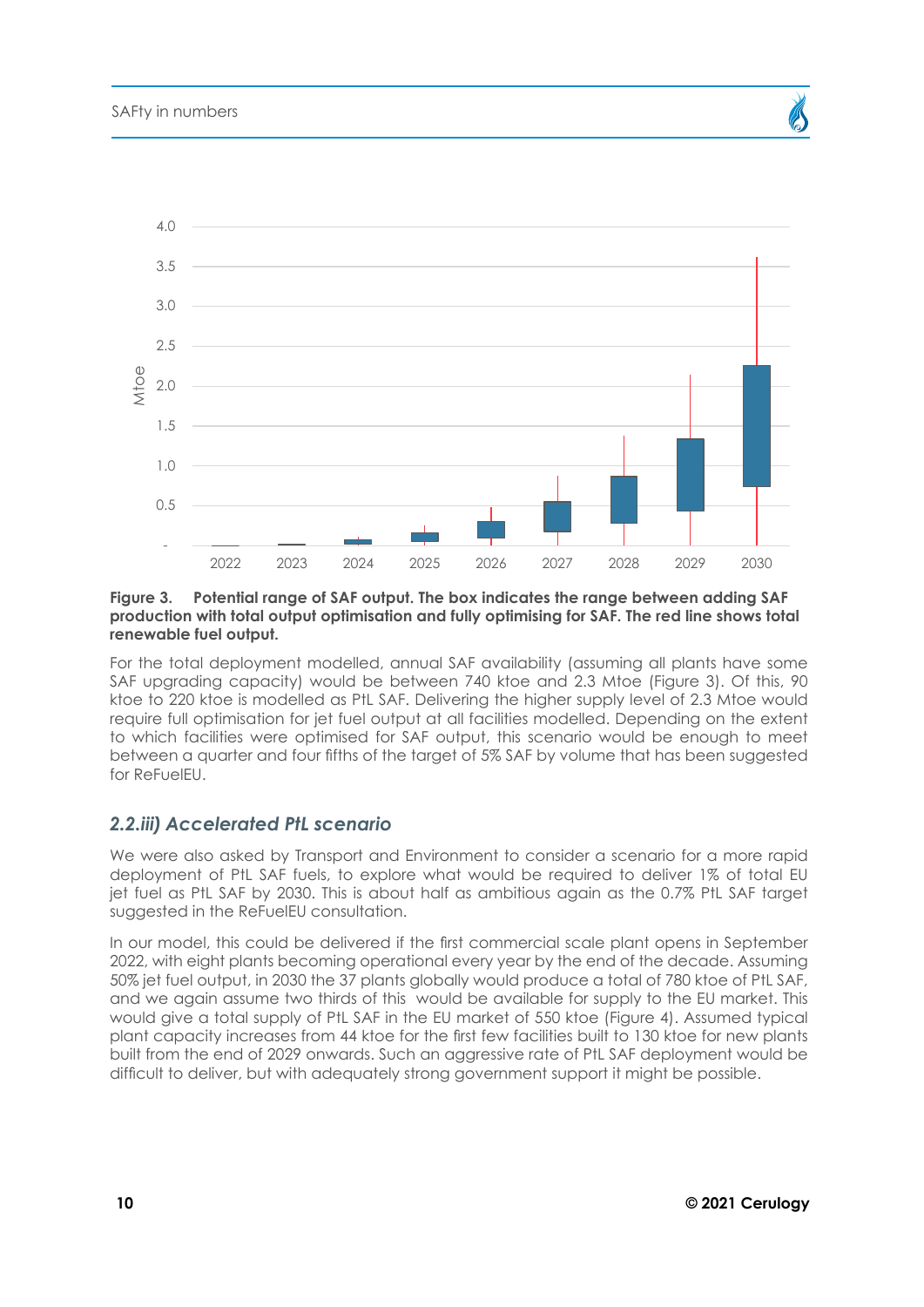

#### **Figure 3. Potential range of SAF output. The box indicates the range between adding SAF production with total output optimisation and fully optimising for SAF. The red line shows total renewable fuel output.**

For the total deployment modelled, annual SAF availability (assuming all plants have some SAF upgrading capacity) would be between 740 ktoe and 2.3 Mtoe (Figure 3). Of this, 90 ktoe to 220 ktoe is modelled as PtL SAF. Delivering the higher supply level of 2.3 Mtoe would require full optimisation for jet fuel output at all facilities modelled. Depending on the extent to which facilities were optimised for SAF output, this scenario would be enough to meet between a quarter and four fifths of the target of 5% SAF by volume that has been suggested for ReFuelEU.

#### *2.2.iii) Accelerated PtL scenario*

We were also asked by Transport and Environment to consider a scenario for a more rapid deployment of PtL SAF fuels, to explore what would be required to deliver 1% of total EU jet fuel as PtL SAF by 2030. This is about half as ambitious again as the 0.7% PtL SAF target suggested in the ReFuelEU consultation.

In our model, this could be delivered if the first commercial scale plant opens in September 2022, with eight plants becoming operational every year by the end of the decade. Assuming 50% jet fuel output, in 2030 the 37 plants globally would produce a total of 780 ktoe of PtL SAF, and we again assume two thirds of this would be available for supply to the EU market. This would give a total supply of PtL SAF in the EU market of 550 ktoe (Figure 4). Assumed typical plant capacity increases from 44 ktoe for the first few facilities built to 130 ktoe for new plants built from the end of 2029 onwards. Such an aggressive rate of PtL SAF deployment would be difficult to deliver, but with adequately strong government support it might be possible.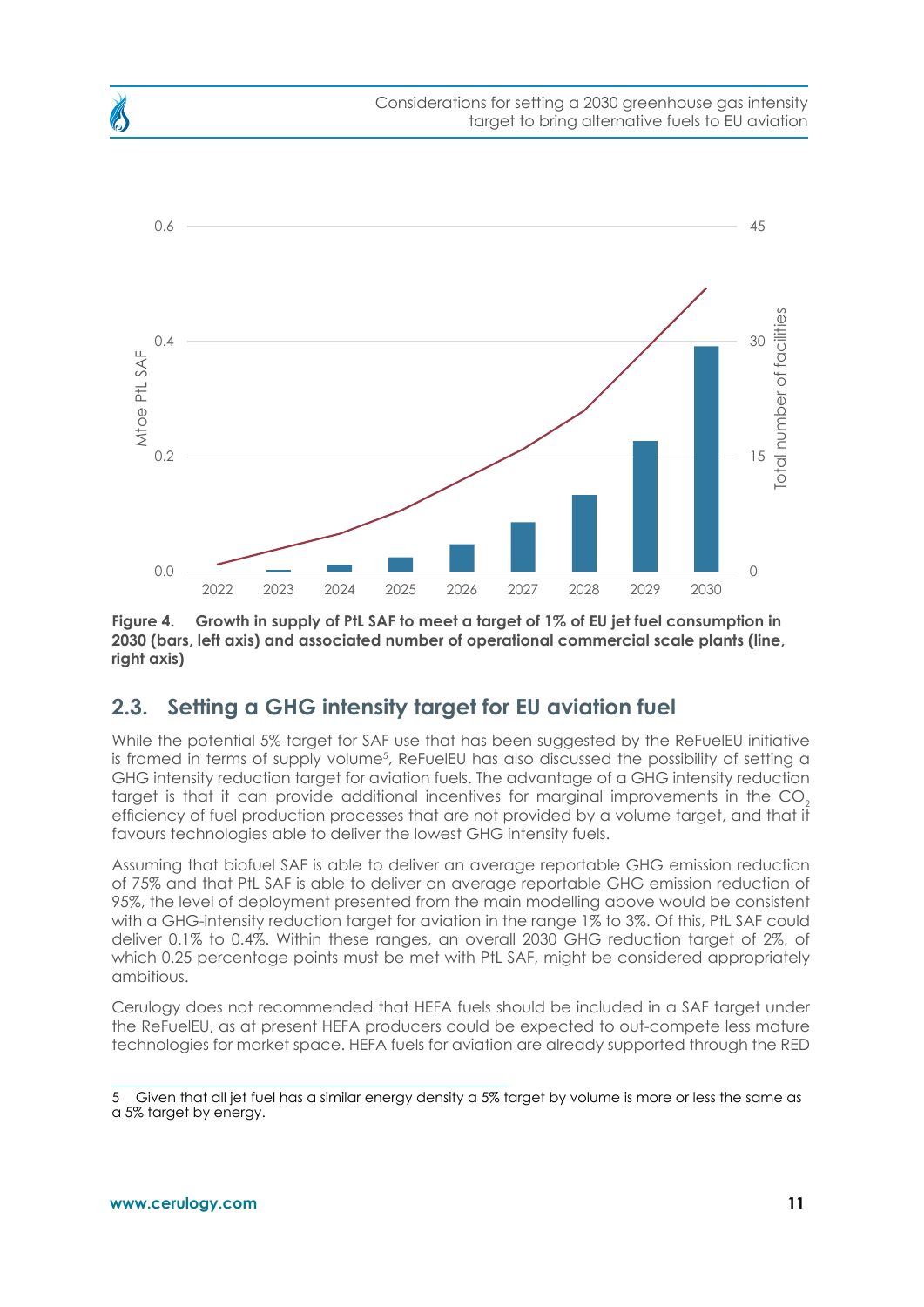<span id="page-10-0"></span>

**Figure 4. Growth in supply of PtL SAF to meet a target of 1% of EU jet fuel consumption in 2030 (bars, left axis) and associated number of operational commercial scale plants (line, right axis)**

### **2.3. Setting a GHG intensity target for EU aviation fuel**

While the potential 5% target for SAF use that has been suggested by the ReFuelEU initiative is framed in terms of supply volume<sup>5</sup>, ReFuelEU has also discussed the possibility of setting a GHG intensity reduction target for aviation fuels. The advantage of a GHG intensity reduction target is that it can provide additional incentives for marginal improvements in the CO<sub>2</sub> efficiency of fuel production processes that are not provided by a volume target, and that it favours technologies able to deliver the lowest GHG intensity fuels.

Assuming that biofuel SAF is able to deliver an average reportable GHG emission reduction of 75% and that PtL SAF is able to deliver an average reportable GHG emission reduction of 95%, the level of deployment presented from the main modelling above would be consistent with a GHG-intensity reduction target for aviation in the range 1% to 3%. Of this, PtL SAF could deliver 0.1% to 0.4%. Within these ranges, an overall 2030 GHG reduction target of 2%, of which 0.25 percentage points must be met with PtL SAF, might be considered appropriately ambitious.

Cerulogy does not recommended that HEFA fuels should be included in a SAF target under the ReFuelEU, as at present HEFA producers could be expected to out-compete less mature technologies for market space. HEFA fuels for aviation are already supported through the RED

<sup>5</sup> Given that all jet fuel has a similar energy density a 5% target by volume is more or less the same as a 5% target by energy.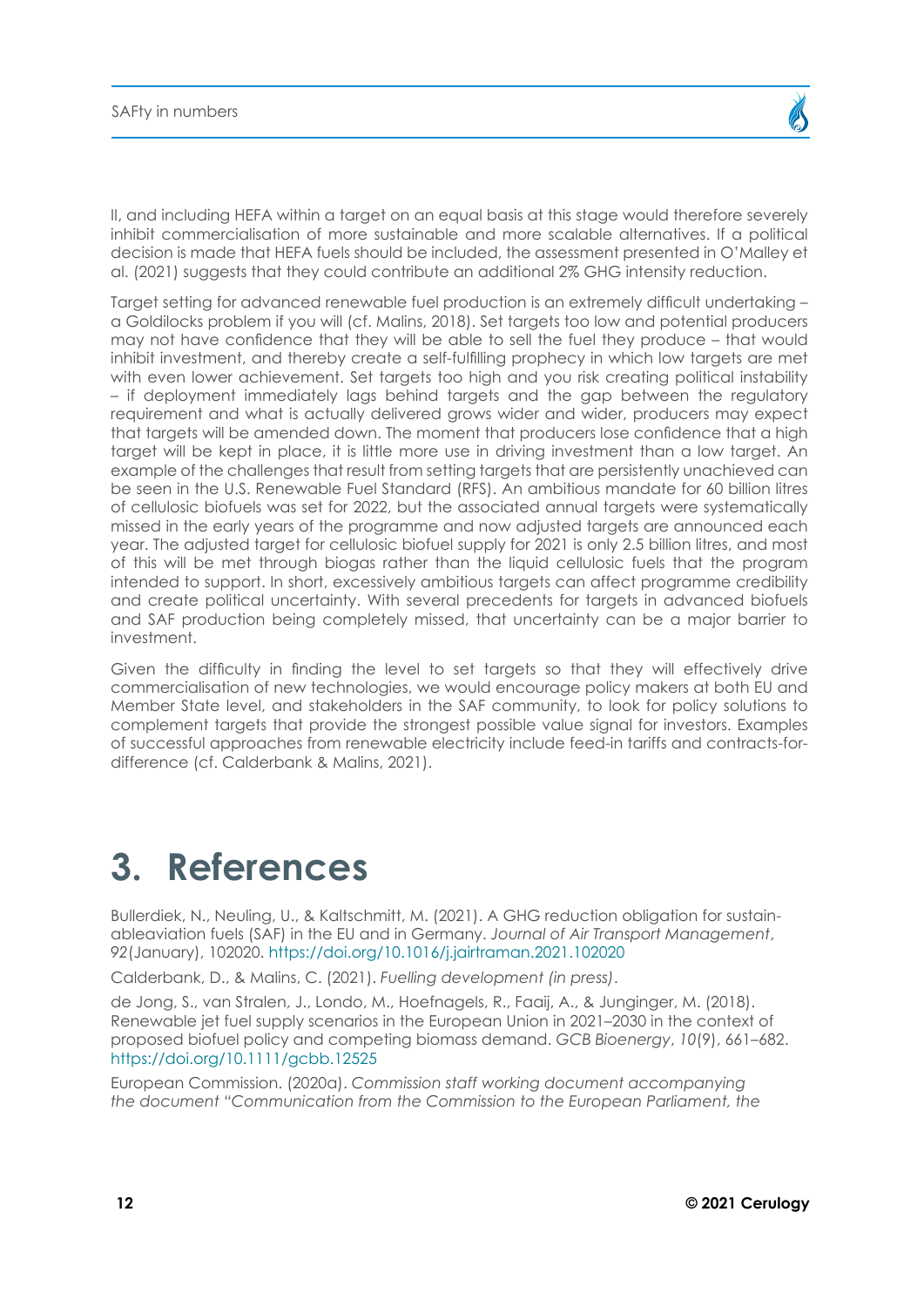<span id="page-11-0"></span>II, and including HEFA within a target on an equal basis at this stage would therefore severely inhibit commercialisation of more sustainable and more scalable alternatives. If a political decision is made that HEFA fuels should be included, the assessment presented in O'Malley et al. (2021) suggests that they could contribute an additional 2% GHG intensity reduction.

Target setting for advanced renewable fuel production is an extremely difficult undertaking – a Goldilocks problem if you will (cf. Malins, 2018). Set targets too low and potential producers may not have confidence that they will be able to sell the fuel they produce – that would inhibit investment, and thereby create a self-fulfilling prophecy in which low targets are met with even lower achievement. Set targets too high and you risk creating political instability – if deployment immediately lags behind targets and the gap between the regulatory requirement and what is actually delivered grows wider and wider, producers may expect that targets will be amended down. The moment that producers lose confidence that a high target will be kept in place, it is little more use in driving investment than a low target. An example of the challenges that result from setting targets that are persistently unachieved can be seen in the U.S. Renewable Fuel Standard (RFS). An ambitious mandate for 60 billion litres of cellulosic biofuels was set for 2022, but the associated annual targets were systematically missed in the early years of the programme and now adjusted targets are announced each year. The adjusted target for cellulosic biofuel supply for 2021 is only 2.5 billion litres, and most of this will be met through biogas rather than the liquid cellulosic fuels that the program intended to support. In short, excessively ambitious targets can affect programme credibility and create political uncertainty. With several precedents for targets in advanced biofuels and SAF production being completely missed, that uncertainty can be a major barrier to investment.

Given the difficulty in finding the level to set targets so that they will effectively drive commercialisation of new technologies, we would encourage policy makers at both EU and Member State level, and stakeholders in the SAF community, to look for policy solutions to complement targets that provide the strongest possible value signal for investors. Examples of successful approaches from renewable electricity include feed-in tariffs and contracts-fordifference (cf. Calderbank & Malins, 2021).

### **3. References**

Bullerdiek, N., Neuling, U., & Kaltschmitt, M. (2021). A GHG reduction obligation for sustainableaviation fuels (SAF) in the EU and in Germany. *Journal of Air Transport Management*, *92*(January), 102020.<https://doi.org/10.1016/j.jairtraman.2021.102020>

Calderbank, D., & Malins, C. (2021). *Fuelling development (in press)*.

de Jong, S., van Stralen, J., Londo, M., Hoefnagels, R., Faaij, A., & Junginger, M. (2018). Renewable jet fuel supply scenarios in the European Union in 2021–2030 in the context of proposed biofuel policy and competing biomass demand. *GCB Bioenergy*, *10*(9), 661–682. <https://doi.org/10.1111/gcbb.12525>

European Commission. (2020a). *Commission staff working document accompanying the document "Communication from the Commission to the European Parliament, the*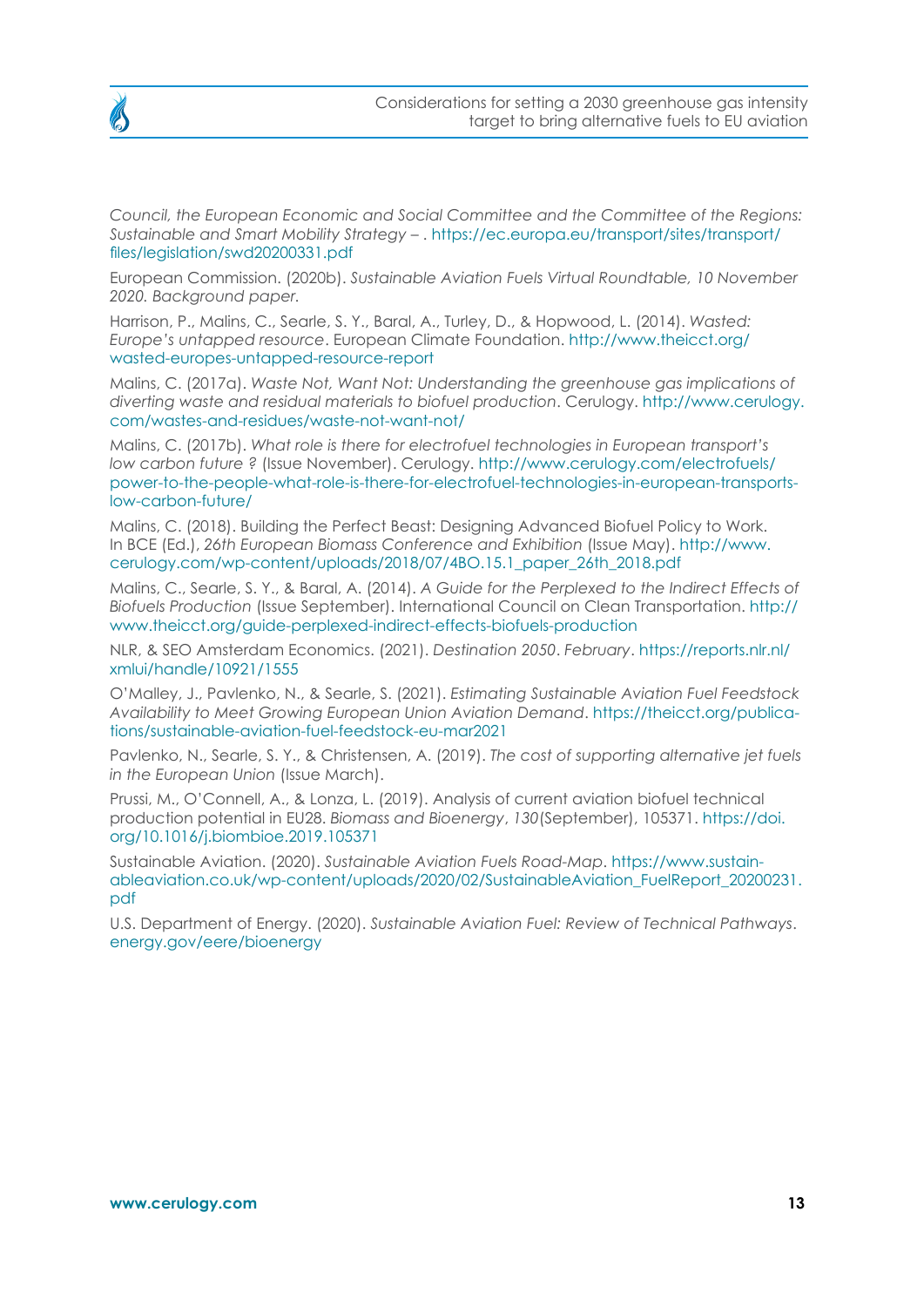

*Council, the European Economic and Social Committee and the Committee of the Regions: Sustainable and Smart Mobility Strategy –* . [https://ec.europa.eu/transport/sites/transport/](https://ec.europa.eu/transport/sites/transport/files/legislation/swd20200331.pdf) [files/legislation/swd20200331.pdf](https://ec.europa.eu/transport/sites/transport/files/legislation/swd20200331.pdf)

European Commission. (2020b). *Sustainable Aviation Fuels Virtual Roundtable, 10 November 2020. Background paper.*

Harrison, P., Malins, C., Searle, S. Y., Baral, A., Turley, D., & Hopwood, L. (2014). *Wasted: Europe's untapped resource*. European Climate Foundation. [http://www.theicct.org/](http://www.theicct.org/wasted-europes-untapped-resource-report) [wasted-europes-untapped-resource-report](http://www.theicct.org/wasted-europes-untapped-resource-report)

Malins, C. (2017a). *Waste Not, Want Not: Understanding the greenhouse gas implications of diverting waste and residual materials to biofuel production*. Cerulogy. [http://www.cerulogy.](http://www.cerulogy.com/wastes-and-residues/waste-not-want-not/) [com/wastes-and-residues/waste-not-want-not/](http://www.cerulogy.com/wastes-and-residues/waste-not-want-not/)

Malins, C. (2017b). *What role is there for electrofuel technologies in European transport's low carbon future ?* (Issue November). Cerulogy. [http://www.cerulogy.com/electrofuels/](http://www.cerulogy.com/electrofuels/power-to-the-people-what-role-is-there-for-electrofuel-technologies-in-european-transports-low-carbon-future/) [power-to-the-people-what-role-is-there-for-electrofuel-technologies-in-european-transports](http://www.cerulogy.com/electrofuels/power-to-the-people-what-role-is-there-for-electrofuel-technologies-in-european-transports-low-carbon-future/)[low-carbon-future/](http://www.cerulogy.com/electrofuels/power-to-the-people-what-role-is-there-for-electrofuel-technologies-in-european-transports-low-carbon-future/)

Malins, C. (2018). Building the Perfect Beast: Designing Advanced Biofuel Policy to Work. In BCE (Ed.), *26th European Biomass Conference and Exhibition* (Issue May). [http://www.](http://www.cerulogy.com/wp-content/uploads/2018/07/4BO.15.1_paper_26th_2018.pdf) [cerulogy.com/wp-content/uploads/2018/07/4BO.15.1\\_paper\\_26th\\_2018.pdf](http://www.cerulogy.com/wp-content/uploads/2018/07/4BO.15.1_paper_26th_2018.pdf)

Malins, C., Searle, S. Y., & Baral, A. (2014). *A Guide for the Perplexed to the Indirect Effects of Biofuels Production* (Issue September). International Council on Clean Transportation. [http://](http://www.theicct.org/guide-perplexed-indirect-effects-biofuels-production) [www.theicct.org/guide-perplexed-indirect-effects-biofuels-production](http://www.theicct.org/guide-perplexed-indirect-effects-biofuels-production)

NLR, & SEO Amsterdam Economics. (2021). *Destination 2050*. *February*. [https://reports.nlr.nl/](https://reports.nlr.nl/xmlui/handle/10921/1555) [xmlui/handle/10921/1555](https://reports.nlr.nl/xmlui/handle/10921/1555)

O'Malley, J., Pavlenko, N., & Searle, S. (2021). *Estimating Sustainable Aviation Fuel Feedstock Availability to Meet Growing European Union Aviation Demand*. [https://theicct.org/publica](https://theicct.org/publications/sustainable-aviation-fuel-feedstock-eu-mar2021)[tions/sustainable-aviation-fuel-feedstock-eu-mar2021](https://theicct.org/publications/sustainable-aviation-fuel-feedstock-eu-mar2021)

Pavlenko, N., Searle, S. Y., & Christensen, A. (2019). *The cost of supporting alternative jet fuels in the European Union* (Issue March).

Prussi, M., O'Connell, A., & Lonza, L. (2019). Analysis of current aviation biofuel technical production potential in EU28. *Biomass and Bioenergy*, *130*(September), 105371. [https://doi.](https://doi.org/10.1016/j.biombioe.2019.105371) [org/10.1016/j.biombioe.2019.105371](https://doi.org/10.1016/j.biombioe.2019.105371)

Sustainable Aviation. (2020). *Sustainable Aviation Fuels Road-Map*. [https://www.sustain](https://www.sustainableaviation.co.uk/wp-content/uploads/2020/02/SustainableAviation_FuelReport_20200231.pdf)[ableaviation.co.uk/wp-content/uploads/2020/02/SustainableAviation\\_FuelReport\\_20200231.](https://www.sustainableaviation.co.uk/wp-content/uploads/2020/02/SustainableAviation_FuelReport_20200231.pdf) [pdf](https://www.sustainableaviation.co.uk/wp-content/uploads/2020/02/SustainableAviation_FuelReport_20200231.pdf)

U.S. Department of Energy. (2020). *Sustainable Aviation Fuel: Review of Technical Pathways*. [energy.gov/eere/bioenergy](http://energy.gov/eere/bioenergy)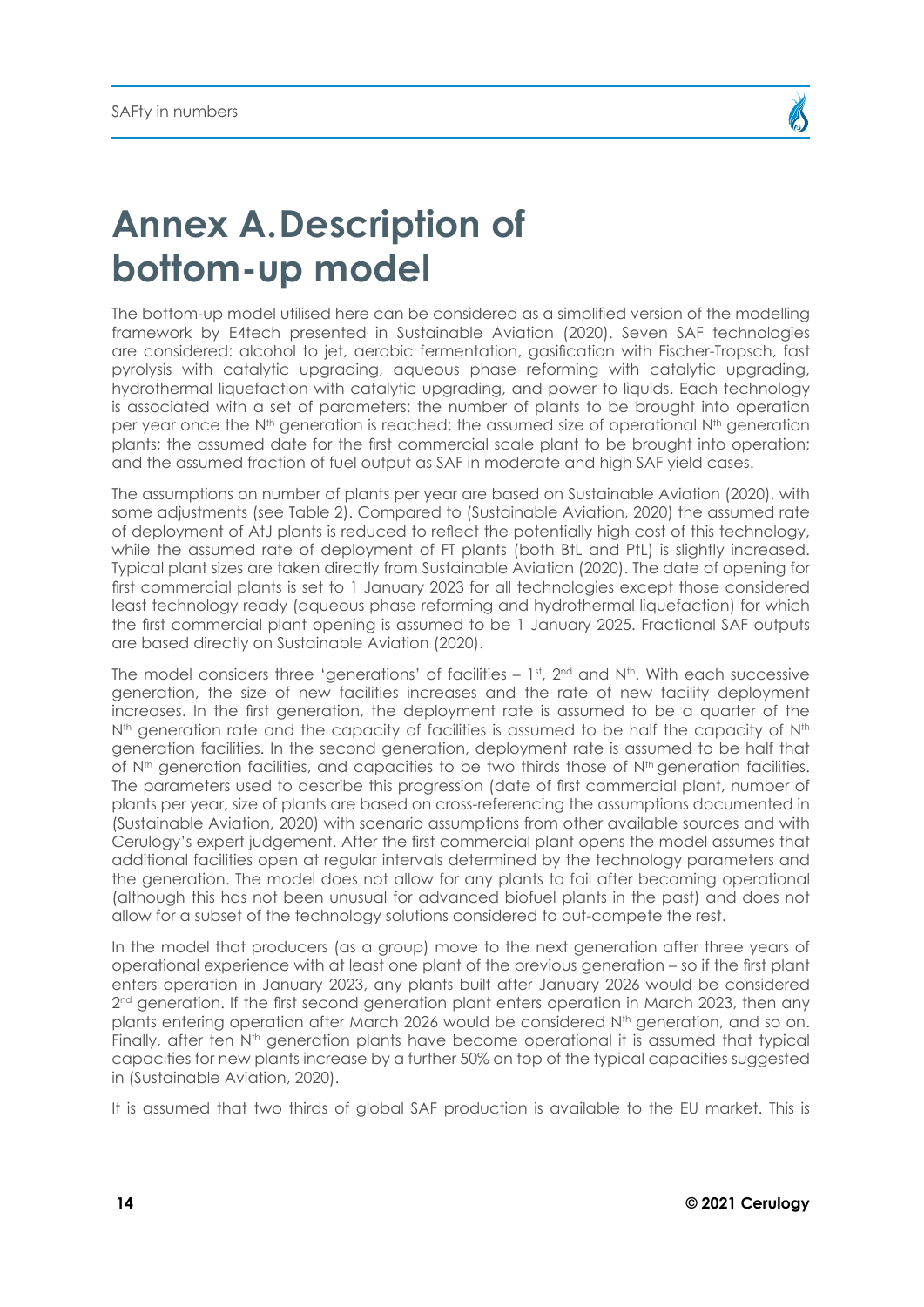## <span id="page-13-0"></span>**Annex A.Description of bottom-up model**

The bottom-up model utilised here can be considered as a simplified version of the modelling framework by E4tech presented in Sustainable Aviation (2020). Seven SAF technologies are considered: alcohol to jet, aerobic fermentation, gasification with Fischer-Tropsch, fast pyrolysis with catalytic upgrading, aqueous phase reforming with catalytic upgrading, hydrothermal liquefaction with catalytic upgrading, and power to liquids. Each technology is associated with a set of parameters: the number of plants to be brought into operation per year once the N<sup>th</sup> generation is reached; the assumed size of operational N<sup>th</sup> generation plants; the assumed date for the first commercial scale plant to be brought into operation; and the assumed fraction of fuel output as SAF in moderate and high SAF yield cases.

The assumptions on number of plants per year are based on Sustainable Aviation (2020), with some adjustments (see Table 2). Compared to (Sustainable Aviation, 2020) the assumed rate of deployment of AtJ plants is reduced to reflect the potentially high cost of this technology, while the assumed rate of deployment of FT plants (both BtL and PtL) is slightly increased. Typical plant sizes are taken directly from Sustainable Aviation (2020). The date of opening for first commercial plants is set to 1 January 2023 for all technologies except those considered least technology ready (aqueous phase reforming and hydrothermal liquefaction) for which the first commercial plant opening is assumed to be 1 January 2025. Fractional SAF outputs are based directly on Sustainable Aviation (2020).

The model considers three 'generations' of facilities  $-1$ <sup>st</sup>,  $2<sup>nd</sup>$  and N<sup>th</sup>. With each successive generation, the size of new facilities increases and the rate of new facility deployment increases. In the first generation, the deployment rate is assumed to be a quarter of the  $N<sup>th</sup>$  generation rate and the capacity of facilities is assumed to be half the capacity of  $N<sup>th</sup>$ generation facilities. In the second generation, deployment rate is assumed to be half that of  $N<sup>th</sup>$  generation facilities, and capacities to be two thirds those of  $N<sup>th</sup>$  generation facilities. The parameters used to describe this progression (date of first commercial plant, number of plants per year, size of plants are based on cross-referencing the assumptions documented in (Sustainable Aviation, 2020) with scenario assumptions from other available sources and with Cerulogy's expert judgement. After the first commercial plant opens the model assumes that additional facilities open at regular intervals determined by the technology parameters and the generation. The model does not allow for any plants to fail after becoming operational (although this has not been unusual for advanced biofuel plants in the past) and does not allow for a subset of the technology solutions considered to out-compete the rest.

In the model that producers (as a group) move to the next generation after three years of operational experience with at least one plant of the previous generation – so if the first plant enters operation in January 2023, any plants built after January 2026 would be considered  $2<sup>nd</sup>$  generation. If the first second generation plant enters operation in March 2023, then any plants entering operation after March 2026 would be considered N<sup>th</sup> generation, and so on. Finally, after ten N<sup>th</sup> generation plants have become operational it is assumed that typical capacities for new plants increase by a further 50% on top of the typical capacities suggested in (Sustainable Aviation, 2020).

It is assumed that two thirds of global SAF production is available to the EU market. This is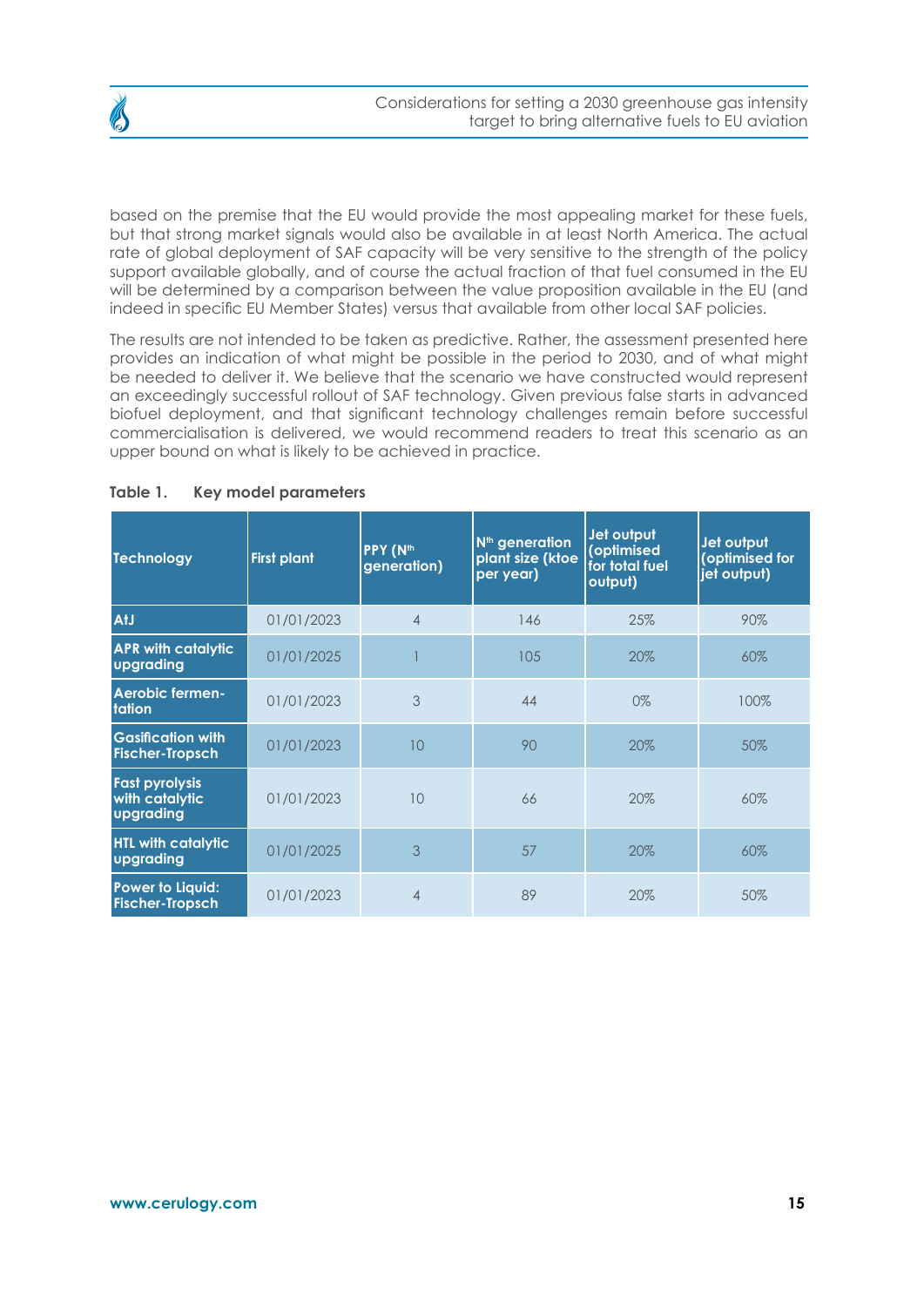

based on the premise that the EU would provide the most appealing market for these fuels, but that strong market signals would also be available in at least North America. The actual rate of global deployment of SAF capacity will be very sensitive to the strength of the policy support available globally, and of course the actual fraction of that fuel consumed in the EU will be determined by a comparison between the value proposition available in the EU (and indeed in specific EU Member States) versus that available from other local SAF policies.

The results are not intended to be taken as predictive. Rather, the assessment presented here provides an indication of what might be possible in the period to 2030, and of what might be needed to deliver it. We believe that the scenario we have constructed would represent an exceedingly successful rollout of SAF technology. Given previous false starts in advanced biofuel deployment, and that significant technology challenges remain before successful commercialisation is delivered, we would recommend readers to treat this scenario as an upper bound on what is likely to be achieved in practice.

| <b>Technology</b>                                    | <b>First plant</b> | PPY (N <sup>th</sup><br>generation) | N <sup>th</sup> generation<br>plant size (ktoe<br>per year) | Jet output<br>(optimised<br>for total fuel<br>output) | Jet output<br>(optimised for<br>jet output) |
|------------------------------------------------------|--------------------|-------------------------------------|-------------------------------------------------------------|-------------------------------------------------------|---------------------------------------------|
| AtJ                                                  | 01/01/2023         | $\overline{4}$                      | 146                                                         | 25%                                                   | 90%                                         |
| <b>APR with catalytic</b><br>upgrading               | 01/01/2025         |                                     | 105                                                         | 20%                                                   | 60%                                         |
| Aerobic fermen-<br>tation                            | 01/01/2023         | 3                                   | 44                                                          | 0%                                                    | 100%                                        |
| <b>Gasification with</b><br><b>Fischer-Tropsch</b>   | 01/01/2023         | 10                                  | 90                                                          | 20%                                                   | 50%                                         |
| <b>Fast pyrolysis</b><br>with catalytic<br>upgrading | 01/01/2023         | 10                                  | 66                                                          | 20%                                                   | 60%                                         |
| <b>HTL with catalytic</b><br>upgrading               | 01/01/2025         | 3                                   | 57                                                          | 20%                                                   | 60%                                         |
| <b>Power to Liquid:</b><br><b>Fischer-Tropsch</b>    | 01/01/2023         | $\overline{4}$                      | 89                                                          | 20%                                                   | 50%                                         |

#### **Table 1. Key model parameters**